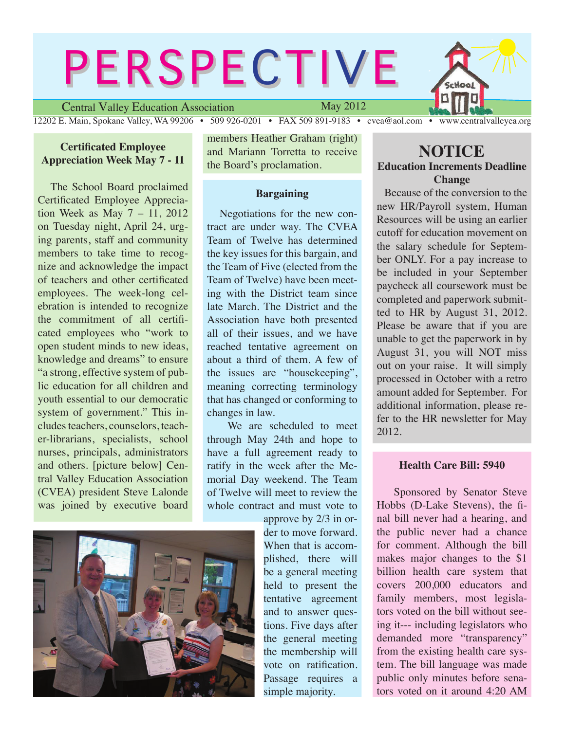# **PERSPECTIVE**

Central Valley Education Association

May 2012

12202 E. Main, Spokane Valley, WA 99206 • 509 926-0201 • FAX 509 891-9183 • cvea@aol.com • www.centralvalleyea.org

## **Certificated Employee Appreciation Week May 7 - 11**

 The School Board proclaimed Certificated Employee Appreciation Week as May 7 – 11, 2012 on Tuesday night, April 24, urging parents, staff and community members to take time to recognize and acknowledge the impact of teachers and other certificated employees. The week-long celebration is intended to recognize the commitment of all certificated employees who "work to open student minds to new ideas, knowledge and dreams" to ensure "a strong, effective system of public education for all children and youth essential to our democratic system of government." This includes teachers, counselors, teacher-librarians, specialists, school nurses, principals, administrators and others. [picture below] Central Valley Education Association (CVEA) president Steve Lalonde was joined by executive board members Heather Graham (right) and Mariann Torretta to receive the Board's proclamation.

#### **Bargaining**

 Negotiations for the new contract are under way. The CVEA Team of Twelve has determined the key issues for this bargain, and the Team of Five (elected from the Team of Twelve) have been meeting with the District team since late March. The District and the Association have both presented all of their issues, and we have reached tentative agreement on about a third of them. A few of the issues are "housekeeping", meaning correcting terminology that has changed or conforming to changes in law.

 We are scheduled to meet through May 24th and hope to have a full agreement ready to ratify in the week after the Memorial Day weekend. The Team of Twelve will meet to review the whole contract and must vote to

approve by 2/3 in order to move forward. When that is accomplished, there will be a general meeting held to present the tentative agreement and to answer questions. Five days after the general meeting the membership will vote on ratification. Passage requires a simple majority.

# **NOTICE Education Increments Deadline**

**Change**

Hool

 Because of the conversion to the new HR/Payroll system, Human Resources will be using an earlier cutoff for education movement on the salary schedule for September ONLY. For a pay increase to be included in your September paycheck all coursework must be completed and paperwork submitted to HR by August 31, 2012. Please be aware that if you are unable to get the paperwork in by August 31, you will NOT miss out on your raise. It will simply processed in October with a retro amount added for September. For additional information, please refer to the HR newsletter for May 2012.

### **Health Care Bill: 5940**

 Sponsored by Senator Steve Hobbs (D-Lake Stevens), the final bill never had a hearing, and the public never had a chance for comment. Although the bill makes major changes to the \$1 billion health care system that covers 200,000 educators and family members, most legislators voted on the bill without seeing it--- including legislators who demanded more "transparency" from the existing health care system. The bill language was made public only minutes before senators voted on it around 4:20 AM

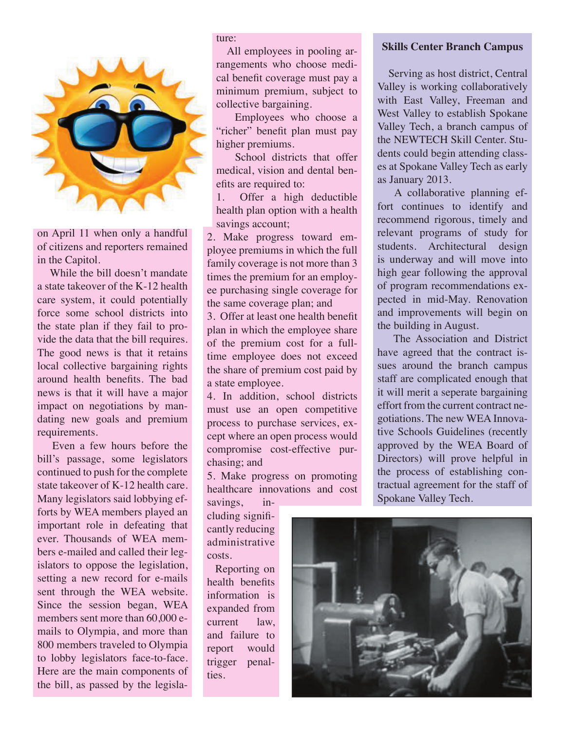

on April 11 when only a handful of citizens and reporters remained in the Capitol.

 While the bill doesn't mandate a state takeover of the K-12 health care system, it could potentially force some school districts into the state plan if they fail to provide the data that the bill requires. The good news is that it retains local collective bargaining rights around health benefits. The bad news is that it will have a major impact on negotiations by mandating new goals and premium requirements.

 Even a few hours before the bill's passage, some legislators continued to push for the complete state takeover of K-12 health care. Many legislators said lobbying efforts by WEA members played an important role in defeating that ever. Thousands of WEA members e-mailed and called their legislators to oppose the legislation, setting a new record for e-mails sent through the WEA website. Since the session began, WEA members sent more than 60,000 emails to Olympia, and more than 800 members traveled to Olympia to lobby legislators face-to-face. Here are the main components of the bill, as passed by the legislature:

 All employees in pooling arrangements who choose medical benefit coverage must pay a minimum premium, subject to collective bargaining.

 Employees who choose a "richer" benefit plan must pay higher premiums.

 School districts that offer medical, vision and dental benefits are required to:

1. Offer a high deductible health plan option with a health savings account;

2. Make progress toward employee premiums in which the full family coverage is not more than 3 times the premium for an employee purchasing single coverage for the same coverage plan; and

3. Offer at least one health benefit plan in which the employee share of the premium cost for a fulltime employee does not exceed the share of premium cost paid by a state employee.

4. In addition, school districts must use an open competitive process to purchase services, except where an open process would compromise cost-effective purchasing; and

5. Make progress on promoting healthcare innovations and cost

savings, including significantly reducing administrative costs.

 Reporting on health benefits information is expanded from current law, and failure to report would trigger penalties.

#### **Skills Center Branch Campus**

 Serving as host district, Central Valley is working collaboratively with East Valley, Freeman and West Valley to establish Spokane Valley Tech, a branch campus of the NEWTECH Skill Center. Students could begin attending classes at Spokane Valley Tech as early as January 2013.

 A collaborative planning effort continues to identify and recommend rigorous, timely and relevant programs of study for students. Architectural design is underway and will move into high gear following the approval of program recommendations expected in mid-May. Renovation and improvements will begin on the building in August.

 The Association and District have agreed that the contract issues around the branch campus staff are complicated enough that it will merit a seperate bargaining effort from the current contract negotiations. The new WEA Innovative Schools Guidelines (recently approved by the WEA Board of Directors) will prove helpful in the process of establishing contractual agreement for the staff of Spokane Valley Tech.

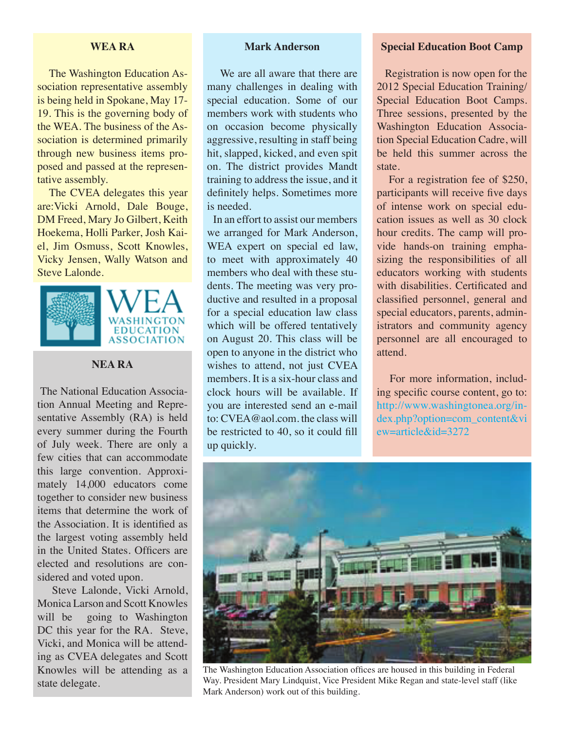## **WEA RA**

 The Washington Education Association representative assembly is being held in Spokane, May 17- 19. This is the governing body of the WEA. The business of the Association is determined primarily through new business items proposed and passed at the representative assembly.

The CVEA delegates this year are:Vicki Arnold, Dale Bouge, DM Freed, Mary Jo Gilbert, Keith Hoekema, Holli Parker, Josh Kaiel, Jim Osmuss, Scott Knowles, Vicky Jensen, Wally Watson and Steve Lalonde.



# **NEA RA**

 The National Education Association Annual Meeting and Representative Assembly (RA) is held every summer during the Fourth of July week. There are only a few cities that can accommodate this large convention. Approximately 14,000 educators come together to consider new business items that determine the work of the Association. It is identified as the largest voting assembly held in the United States. Officers are elected and resolutions are considered and voted upon.

 Steve Lalonde, Vicki Arnold, Monica Larson and Scott Knowles will be going to Washington DC this year for the RA. Steve, Vicki, and Monica will be attending as CVEA delegates and Scott Knowles will be attending as a state delegate.

## **Mark Anderson**

 We are all aware that there are many challenges in dealing with special education. Some of our members work with students who on occasion become physically aggressive, resulting in staff being hit, slapped, kicked, and even spit on. The district provides Mandt training to address the issue, and it definitely helps. Sometimes more is needed.

 In an effort to assist our members we arranged for Mark Anderson, WEA expert on special ed law, to meet with approximately 40 members who deal with these students. The meeting was very productive and resulted in a proposal for a special education law class which will be offered tentatively on August 20. This class will be open to anyone in the district who wishes to attend, not just CVEA members. It is a six-hour class and clock hours will be available. If you are interested send an e-mail to: CVEA@aol.com. the class will be restricted to 40, so it could fill up quickly.

#### **Special Education Boot Camp**

 Registration is now open for the 2012 Special Education Training/ Special Education Boot Camps. Three sessions, presented by the Washington Education Association Special Education Cadre, will be held this summer across the state.

 For a registration fee of \$250, participants will receive five days of intense work on special education issues as well as 30 clock hour credits. The camp will provide hands-on training emphasizing the responsibilities of all educators working with students with disabilities. Certificated and classified personnel, general and special educators, parents, administrators and community agency personnel are all encouraged to attend.

 For more information, including specific course content, go to: [http://www.washingtonea.org/in](http://www.washingtonea.org/index.php?option=com_content&view=article&id=3272)[dex.php?option=com\\_content&vi](http://www.washingtonea.org/index.php?option=com_content&view=article&id=3272) [ew=article&id=3272](http://www.washingtonea.org/index.php?option=com_content&view=article&id=3272)



The Washington Education Association offices are housed in this building in Federal Way. President Mary Lindquist, Vice President Mike Regan and state-level staff (like Mark Anderson) work out of this building.